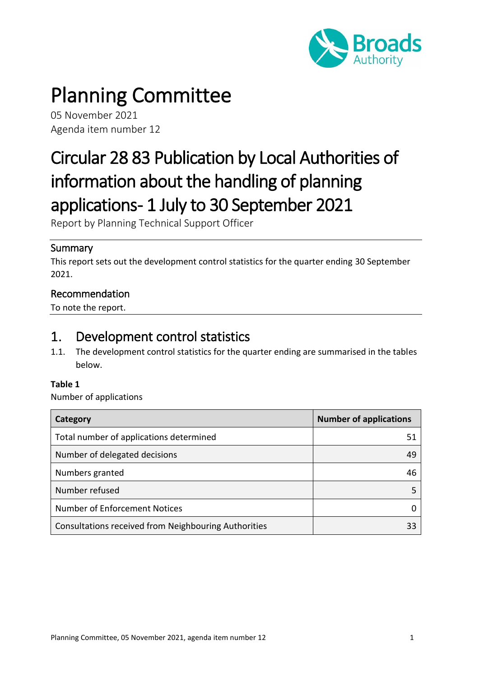

# Planning Committee

05 November 2021 Agenda item number 12

# Circular 28 83 Publication by Local Authorities of information about the handling of planning applications- 1 July to 30 September 2021

Report by Planning Technical Support Officer

### Summary

This report sets out the development control statistics for the quarter ending 30 September 2021.

### Recommendation

To note the report.

## 1. Development control statistics

1.1. The development control statistics for the quarter ending are summarised in the tables below.

#### **Table 1**

Number of applications

| Category                                             | <b>Number of applications</b> |
|------------------------------------------------------|-------------------------------|
| Total number of applications determined              | 51                            |
| Number of delegated decisions                        | 49                            |
| Numbers granted                                      | 46                            |
| Number refused                                       |                               |
| Number of Enforcement Notices                        |                               |
| Consultations received from Neighbouring Authorities |                               |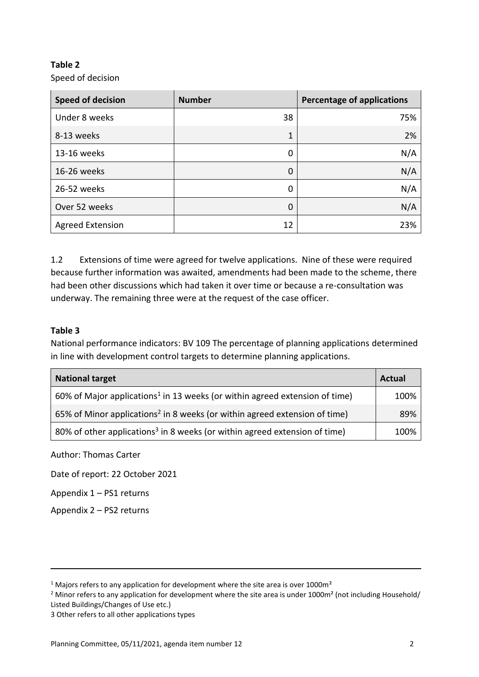#### **Table 2** Speed of decision

| <b>Speed of decision</b> | <b>Number</b> | <b>Percentage of applications</b> |
|--------------------------|---------------|-----------------------------------|
| Under 8 weeks            | 38            | 75%                               |
| 8-13 weeks               | 1             | 2%                                |
| 13-16 weeks              | 0             | N/A                               |
| 16-26 weeks              | 0             | N/A                               |
| 26-52 weeks              | 0             | N/A                               |
| Over 52 weeks            | 0             | N/A                               |
| <b>Agreed Extension</b>  | 12            | 23%                               |

1.2 Extensions of time were agreed for twelve applications. Nine of these were required because further information was awaited, amendments had been made to the scheme, there had been other discussions which had taken it over time or because a re-consultation was underway. The remaining three were at the request of the case officer.

#### **Table 3**

National performance indicators: BV 109 The percentage of planning applications determined in line with development control targets to determine planning applications.

| <b>National target</b>                                                                  | Actual |
|-----------------------------------------------------------------------------------------|--------|
| 60% of Major applications <sup>1</sup> in 13 weeks (or within agreed extension of time) | 100%   |
| 65% of Minor applications <sup>2</sup> in 8 weeks (or within agreed extension of time)  | 89%    |
| 80% of other applications <sup>3</sup> in 8 weeks (or within agreed extension of time)  | 100%   |

Author: Thomas Carter

Date of report: 22 October 2021

Appendix 1 – PS1 returns

Appendix 2 – PS2 returns

-

 $1$  Majors refers to any application for development where the site area is over 1000 $m<sup>2</sup>$ 

<sup>&</sup>lt;sup>2</sup> Minor refers to any application for development where the site area is under 1000m<sup>2</sup> (not including Household/ Listed Buildings/Changes of Use etc.)

<sup>3</sup> Other refers to all other applications types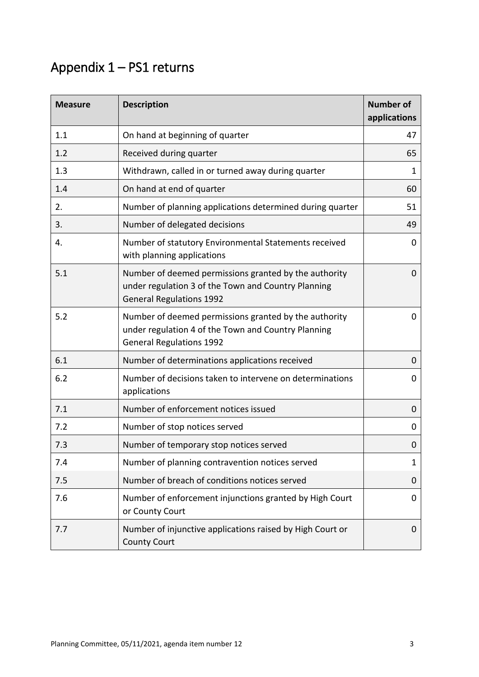# Appendix 1 – PS1 returns

| <b>Measure</b> | <b>Description</b>                                                                                                                              | <b>Number of</b><br>applications |
|----------------|-------------------------------------------------------------------------------------------------------------------------------------------------|----------------------------------|
| 1.1            | On hand at beginning of quarter                                                                                                                 | 47                               |
| 1.2            | Received during quarter                                                                                                                         | 65                               |
| 1.3            | Withdrawn, called in or turned away during quarter                                                                                              | 1                                |
| 1.4            | On hand at end of quarter                                                                                                                       | 60                               |
| 2.             | Number of planning applications determined during quarter                                                                                       | 51                               |
| 3.             | Number of delegated decisions                                                                                                                   | 49                               |
| 4.             | Number of statutory Environmental Statements received<br>with planning applications                                                             | 0                                |
| 5.1            | Number of deemed permissions granted by the authority<br>under regulation 3 of the Town and Country Planning<br><b>General Regulations 1992</b> | 0                                |
| 5.2            | Number of deemed permissions granted by the authority<br>under regulation 4 of the Town and Country Planning<br><b>General Regulations 1992</b> | 0                                |
| 6.1            | Number of determinations applications received                                                                                                  | 0                                |
| 6.2            | Number of decisions taken to intervene on determinations<br>applications                                                                        | 0                                |
| 7.1            | Number of enforcement notices issued                                                                                                            | 0                                |
| 7.2            | Number of stop notices served                                                                                                                   | 0                                |
| 7.3            | Number of temporary stop notices served                                                                                                         | 0                                |
| 7.4            | Number of planning contravention notices served                                                                                                 | $\mathbf 1$                      |
| 7.5            | Number of breach of conditions notices served                                                                                                   | 0                                |
| 7.6            | Number of enforcement injunctions granted by High Court<br>or County Court                                                                      | 0                                |
| 7.7            | Number of injunctive applications raised by High Court or<br><b>County Court</b>                                                                | 0                                |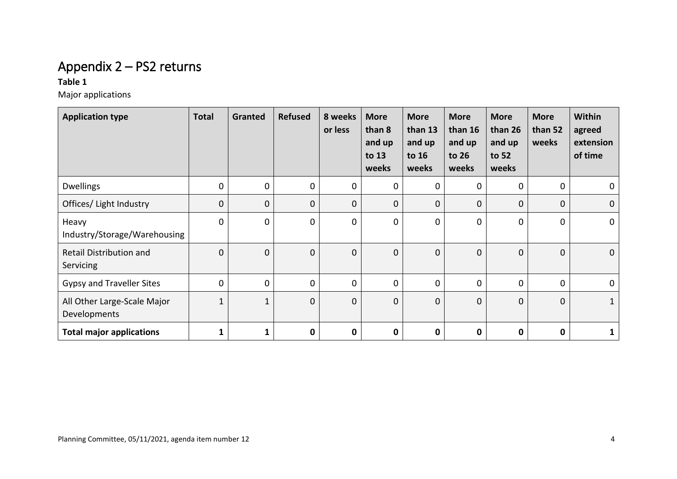## Appendix 2 – PS2 returns

#### **Table 1**

Major applications

| <b>Application type</b>                     | <b>Total</b> | Granted      | <b>Refused</b> | 8 weeks<br>or less | <b>More</b><br>than 8<br>and up<br>to 13<br>weeks | <b>More</b><br>than 13<br>and up<br>to 16<br>weeks | <b>More</b><br>than 16<br>and up<br>to 26<br>weeks | <b>More</b><br>than 26<br>and up<br>to 52<br>weeks | <b>More</b><br>than 52<br>weeks | <b>Within</b><br>agreed<br>extension<br>of time |
|---------------------------------------------|--------------|--------------|----------------|--------------------|---------------------------------------------------|----------------------------------------------------|----------------------------------------------------|----------------------------------------------------|---------------------------------|-------------------------------------------------|
| <b>Dwellings</b>                            | $\mathbf 0$  | $\mathbf 0$  | 0              | 0                  | $\mathbf 0$                                       | 0                                                  | 0                                                  | 0                                                  | $\mathbf 0$                     | $\mathbf 0$                                     |
| Offices/ Light Industry                     | $\mathbf 0$  | $\mathbf 0$  | $\mathbf 0$    | $\mathbf 0$        | 0                                                 | 0                                                  | 0                                                  | 0                                                  | $\mathbf 0$                     | $\mathbf 0$                                     |
| Heavy<br>Industry/Storage/Warehousing       | $\Omega$     | $\mathbf 0$  | 0              | $\mathbf 0$        | 0                                                 | 0                                                  | 0                                                  | $\mathbf 0$                                        | $\mathbf 0$                     | $\mathbf 0$                                     |
| <b>Retail Distribution and</b><br>Servicing | $\mathbf 0$  | $\mathbf 0$  | $\mathbf 0$    | $\mathbf 0$        | 0                                                 | $\mathbf 0$                                        | $\pmb{0}$                                          | $\overline{0}$                                     | $\mathbf 0$                     | $\mathbf 0$                                     |
| <b>Gypsy and Traveller Sites</b>            | $\mathbf 0$  | $\mathbf 0$  | 0              | $\mathbf 0$        | $\mathbf 0$                                       | 0                                                  | 0                                                  | $\mathbf 0$                                        | $\mathbf 0$                     | $\mathbf 0$                                     |
| All Other Large-Scale Major<br>Developments | $\mathbf{1}$ | $\mathbf{1}$ | $\mathbf 0$    | $\mathbf 0$        | 0                                                 | 0                                                  | $\mathbf 0$                                        | $\mathbf 0$                                        | $\mathbf 0$                     | $\mathbf{1}$                                    |
| <b>Total major applications</b>             | 1            |              | $\mathbf 0$    | $\mathbf 0$        | 0                                                 | 0                                                  | $\mathbf 0$                                        | 0                                                  | $\mathbf 0$                     | 1                                               |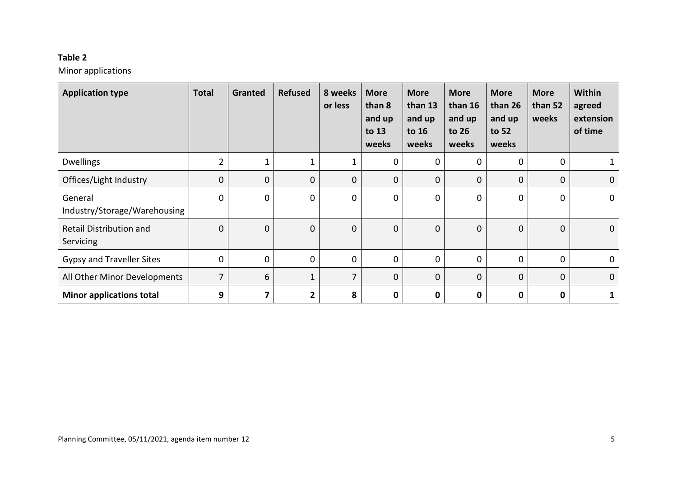#### **Table 2**

Minor applications

| <b>Application type</b>                 | <b>Total</b>   | <b>Granted</b> | <b>Refused</b> | 8 weeks<br>or less | <b>More</b><br>than 8<br>and up<br>to 13<br>weeks | <b>More</b><br>than 13<br>and up<br>to 16<br>weeks | <b>More</b><br>than 16<br>and up<br>to 26<br>weeks | <b>More</b><br>than 26<br>and up<br>to 52<br>weeks | <b>More</b><br>than 52<br>weeks | Within<br>agreed<br>extension<br>of time |
|-----------------------------------------|----------------|----------------|----------------|--------------------|---------------------------------------------------|----------------------------------------------------|----------------------------------------------------|----------------------------------------------------|---------------------------------|------------------------------------------|
| <b>Dwellings</b>                        | $\overline{2}$ | $\mathbf{1}$   |                |                    | 0                                                 | 0                                                  | 0                                                  | 0                                                  | $\mathbf 0$                     | $\mathbf{1}$                             |
| Offices/Light Industry                  | $\mathbf 0$    | $\mathbf 0$    | $\mathbf 0$    | $\mathbf 0$        | 0                                                 | 0                                                  | 0                                                  | 0                                                  | $\mathbf 0$                     | $\mathbf 0$                              |
| General<br>Industry/Storage/Warehousing | $\mathbf 0$    | $\mathbf 0$    | $\mathbf 0$    | $\mathbf 0$        | 0                                                 | 0                                                  | 0                                                  | 0                                                  | $\mathbf 0$                     | $\mathbf 0$                              |
| Retail Distribution and<br>Servicing    | $\mathbf 0$    | $\mathbf 0$    | $\mathbf 0$    | $\mathbf 0$        | 0                                                 | $\mathbf 0$                                        | $\mathbf 0$                                        | $\mathbf 0$                                        | $\mathbf 0$                     | $\mathbf 0$                              |
| <b>Gypsy and Traveller Sites</b>        | $\mathbf 0$    | $\mathbf 0$    | $\mathbf 0$    | 0                  | $\mathbf 0$                                       | 0                                                  | 0                                                  | 0                                                  | $\mathbf 0$                     | $\mathbf 0$                              |
| All Other Minor Developments            | $\overline{7}$ | 6              | $\mathbf{1}$   | 7                  | $\overline{0}$                                    | 0                                                  | 0                                                  | 0                                                  | $\mathbf{0}$                    | $\mathbf 0$                              |
| <b>Minor applications total</b>         | 9              | 7              | $\overline{2}$ | 8                  | 0                                                 | 0                                                  | $\mathbf 0$                                        | 0                                                  | $\mathbf 0$                     | $\mathbf{1}$                             |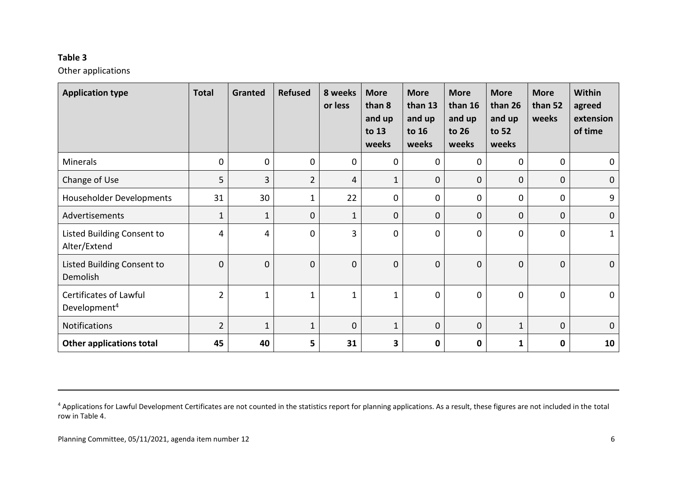#### **Table 3**

l

Other applications

| <b>Application type</b>                            | <b>Total</b>   | Granted      | <b>Refused</b> | 8 weeks<br>or less | <b>More</b><br>than 8<br>and up<br>to 13<br>weeks | <b>More</b><br>than 13<br>and up<br>to 16<br>weeks | <b>More</b><br>than 16<br>and up<br>to 26<br>weeks | <b>More</b><br>than 26<br>and up<br>to 52<br>weeks | <b>More</b><br>than 52<br>weeks | Within<br>agreed<br>extension<br>of time |
|----------------------------------------------------|----------------|--------------|----------------|--------------------|---------------------------------------------------|----------------------------------------------------|----------------------------------------------------|----------------------------------------------------|---------------------------------|------------------------------------------|
| <b>Minerals</b>                                    | $\mathbf 0$    | $\mathbf 0$  | 0              | $\mathbf 0$        | 0                                                 | $\mathbf 0$                                        | 0                                                  | 0                                                  | $\mathbf 0$                     | 0                                        |
| Change of Use                                      | 5              | 3            | $\overline{2}$ | 4                  | $\mathbf{1}$                                      | $\mathbf 0$                                        | 0                                                  | 0                                                  | 0                               | $\pmb{0}$                                |
| Householder Developments                           | 31             | 30           | $\mathbf{1}$   | 22                 | 0                                                 | $\mathbf 0$                                        | 0                                                  | 0                                                  | 0                               | 9                                        |
| Advertisements                                     | $\mathbf{1}$   | $\mathbf{1}$ | $\mathbf{0}$   | $\mathbf{1}$       | $\Omega$                                          | $\Omega$                                           | 0                                                  | 0                                                  | $\mathbf{0}$                    | $\mathbf 0$                              |
| Listed Building Consent to<br>Alter/Extend         | 4              | 4            | $\mathbf 0$    | 3                  | $\overline{0}$                                    | 0                                                  | 0                                                  | 0                                                  | $\mathbf 0$                     | $\mathbf{1}$                             |
| Listed Building Consent to<br>Demolish             | $\Omega$       | $\mathbf 0$  | $\mathbf{0}$   | $\overline{0}$     | $\Omega$                                          | $\Omega$                                           | 0                                                  | 0                                                  | $\mathbf{0}$                    | $\mathbf 0$                              |
| Certificates of Lawful<br>Development <sup>4</sup> | $\overline{2}$ | $\mathbf 1$  | 1              | $\mathbf{1}$       | 1                                                 | $\mathbf 0$                                        | 0                                                  | 0                                                  | $\mathbf 0$                     | $\mathbf 0$                              |
| <b>Notifications</b>                               | $\overline{2}$ | $\mathbf{1}$ | $\mathbf{1}$   | $\mathbf 0$        | $\mathbf{1}$                                      | $\mathbf 0$                                        | 0                                                  | 1                                                  | 0                               | $\mathbf 0$                              |
| <b>Other applications total</b>                    | 45             | 40           | 5              | 31                 | 3                                                 | $\mathbf 0$                                        | 0                                                  | 1                                                  | $\mathbf 0$                     | 10                                       |

<sup>&</sup>lt;sup>4</sup> Applications for Lawful Development Certificates are not counted in the statistics report for planning applications. As a result, these figures are not included in the total row in Table 4.